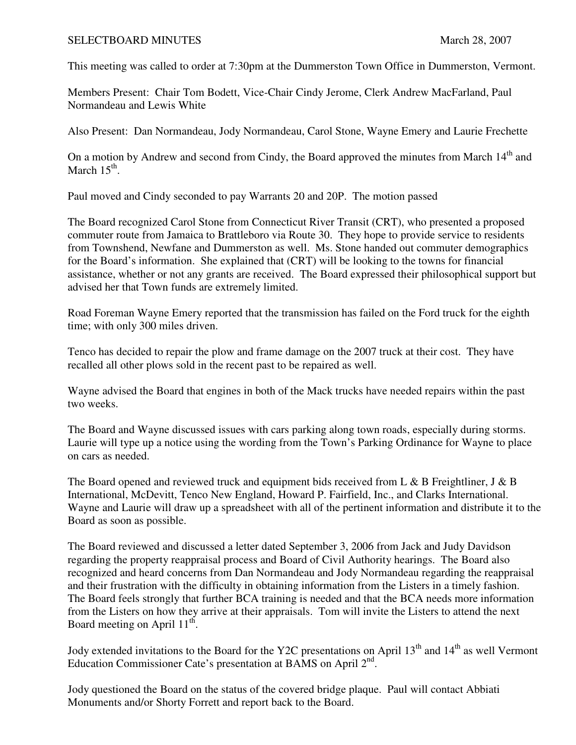## SELECTBOARD MINUTES March 28, 2007

This meeting was called to order at 7:30pm at the Dummerston Town Office in Dummerston, Vermont.

Members Present: Chair Tom Bodett, Vice-Chair Cindy Jerome, Clerk Andrew MacFarland, Paul Normandeau and Lewis White

Also Present: Dan Normandeau, Jody Normandeau, Carol Stone, Wayne Emery and Laurie Frechette

On a motion by Andrew and second from Cindy, the Board approved the minutes from March 14<sup>th</sup> and March  $15^{\text{th}}$ .

Paul moved and Cindy seconded to pay Warrants 20 and 20P. The motion passed

The Board recognized Carol Stone from Connecticut River Transit (CRT), who presented a proposed commuter route from Jamaica to Brattleboro via Route 30. They hope to provide service to residents from Townshend, Newfane and Dummerston as well. Ms. Stone handed out commuter demographics for the Board's information. She explained that (CRT) will be looking to the towns for financial assistance, whether or not any grants are received. The Board expressed their philosophical support but advised her that Town funds are extremely limited.

Road Foreman Wayne Emery reported that the transmission has failed on the Ford truck for the eighth time; with only 300 miles driven.

Tenco has decided to repair the plow and frame damage on the 2007 truck at their cost. They have recalled all other plows sold in the recent past to be repaired as well.

Wayne advised the Board that engines in both of the Mack trucks have needed repairs within the past two weeks.

The Board and Wayne discussed issues with cars parking along town roads, especially during storms. Laurie will type up a notice using the wording from the Town's Parking Ordinance for Wayne to place on cars as needed.

The Board opened and reviewed truck and equipment bids received from L & B Freightliner, J & B International, McDevitt, Tenco New England, Howard P. Fairfield, Inc., and Clarks International. Wayne and Laurie will draw up a spreadsheet with all of the pertinent information and distribute it to the Board as soon as possible.

The Board reviewed and discussed a letter dated September 3, 2006 from Jack and Judy Davidson regarding the property reappraisal process and Board of Civil Authority hearings. The Board also recognized and heard concerns from Dan Normandeau and Jody Normandeau regarding the reappraisal and their frustration with the difficulty in obtaining information from the Listers in a timely fashion. The Board feels strongly that further BCA training is needed and that the BCA needs more information from the Listers on how they arrive at their appraisals. Tom will invite the Listers to attend the next Board meeting on April 11<sup>th</sup>.

Jody extended invitations to the Board for the Y2C presentations on April 13<sup>th</sup> and 14<sup>th</sup> as well Vermont Education Commissioner Cate's presentation at BAMS on April  $2<sup>nd</sup>$ .

Jody questioned the Board on the status of the covered bridge plaque. Paul will contact Abbiati Monuments and/or Shorty Forrett and report back to the Board.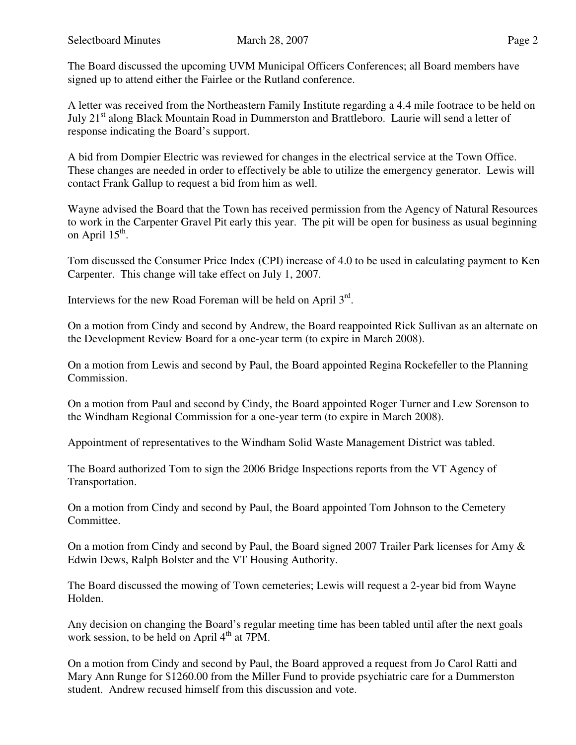The Board discussed the upcoming UVM Municipal Officers Conferences; all Board members have signed up to attend either the Fairlee or the Rutland conference.

A letter was received from the Northeastern Family Institute regarding a 4.4 mile footrace to be held on July 21<sup>st</sup> along Black Mountain Road in Dummerston and Brattleboro. Laurie will send a letter of response indicating the Board's support.

A bid from Dompier Electric was reviewed for changes in the electrical service at the Town Office. These changes are needed in order to effectively be able to utilize the emergency generator. Lewis will contact Frank Gallup to request a bid from him as well.

Wayne advised the Board that the Town has received permission from the Agency of Natural Resources to work in the Carpenter Gravel Pit early this year. The pit will be open for business as usual beginning on April  $15^{\text{th}}$ .

Tom discussed the Consumer Price Index (CPI) increase of 4.0 to be used in calculating payment to Ken Carpenter. This change will take effect on July 1, 2007.

Interviews for the new Road Foreman will be held on April  $3<sup>rd</sup>$ .

On a motion from Cindy and second by Andrew, the Board reappointed Rick Sullivan as an alternate on the Development Review Board for a one-year term (to expire in March 2008).

On a motion from Lewis and second by Paul, the Board appointed Regina Rockefeller to the Planning Commission.

On a motion from Paul and second by Cindy, the Board appointed Roger Turner and Lew Sorenson to the Windham Regional Commission for a one-year term (to expire in March 2008).

Appointment of representatives to the Windham Solid Waste Management District was tabled.

The Board authorized Tom to sign the 2006 Bridge Inspections reports from the VT Agency of Transportation.

On a motion from Cindy and second by Paul, the Board appointed Tom Johnson to the Cemetery Committee.

On a motion from Cindy and second by Paul, the Board signed 2007 Trailer Park licenses for Amy & Edwin Dews, Ralph Bolster and the VT Housing Authority.

The Board discussed the mowing of Town cemeteries; Lewis will request a 2-year bid from Wayne Holden.

Any decision on changing the Board's regular meeting time has been tabled until after the next goals work session, to be held on April  $4<sup>th</sup>$  at 7PM.

On a motion from Cindy and second by Paul, the Board approved a request from Jo Carol Ratti and Mary Ann Runge for \$1260.00 from the Miller Fund to provide psychiatric care for a Dummerston student. Andrew recused himself from this discussion and vote.